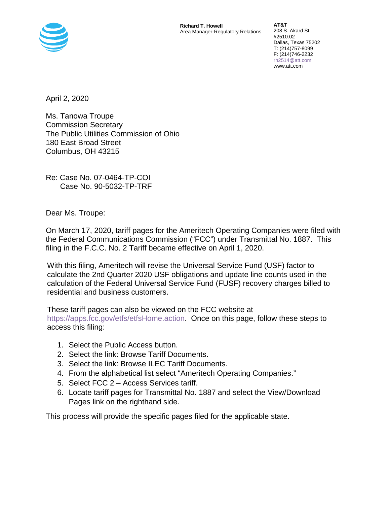

**Richard T. Howell**  Area Manager-Regulatory Relations

**AT&T**  208 S. Akard St. #2510.02 Dallas, Texas 75202 T: (214)757-8099 F: (214)746-2232 rh2514@att.com www.att.com

April 2, 2020

Ms. Tanowa Troupe Commission Secretary The Public Utilities Commission of Ohio 180 East Broad Street Columbus, OH 43215

Re: Case No. 07-0464-TP-COI Case No. 90-5032-TP-TRF

Dear Ms. Troupe:

On March 17, 2020, tariff pages for the Ameritech Operating Companies were filed with the Federal Communications Commission ("FCC") under Transmittal No. 1887. This filing in the F.C.C. No. 2 Tariff became effective on April 1, 2020.

With this filing, Ameritech will revise the Universal Service Fund (USF) factor to calculate the 2nd Quarter 2020 USF obligations and update line counts used in the calculation of the Federal Universal Service Fund (FUSF) recovery charges billed to residential and business customers.

These tariff pages can also be viewed on the FCC website at https://apps.fcc.gov/etfs/etfsHome.action. Once on this page, follow these steps to access this filing:

- 1. Select the Public Access button.
- 2. Select the link: Browse Tariff Documents.
- 3. Select the link: Browse ILEC Tariff Documents.
- 4. From the alphabetical list select "Ameritech Operating Companies."
- 5. Select FCC 2 Access Services tariff.
- 6. Locate tariff pages for Transmittal No. 1887 and select the View/Download Pages link on the righthand side.

This process will provide the specific pages filed for the applicable state.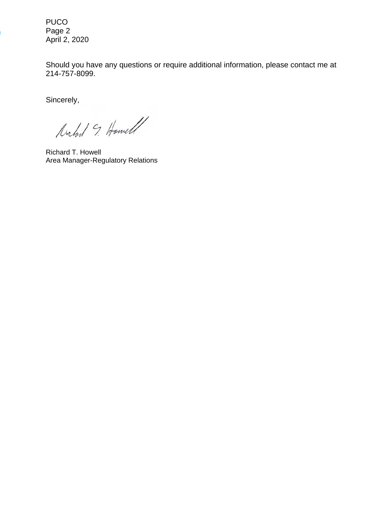PUCO Page 2 April 2, 2020

Should you have any questions or require additional information, please contact me at 214-757-8099.

Sincerely,

Michel 9. Howell

Richard T. Howell Area Manager-Regulatory Relations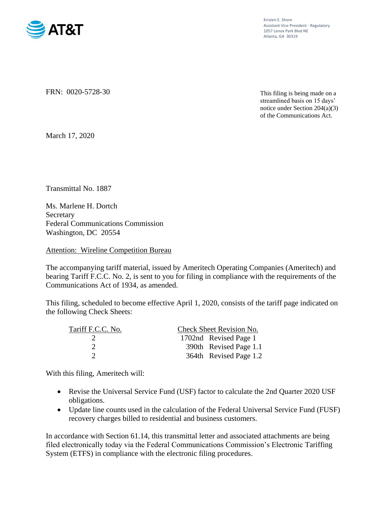

Kristen E. Shore Assistant Vice President - Regulatory 1057 Lenox Park Blvd NE Atlanta, GA 30319

FRN: 0020-5728-30

This filing is being made on a streamlined basis on 15 days' notice under Section 204(a)(3) of the Communications Act.

March 17, 2020

Transmittal No. 1887

Ms. Marlene H. Dortch Secretary Federal Communications Commission Washington, DC 20554

Attention: Wireline Competition Bureau

The accompanying tariff material, issued by Ameritech Operating Companies (Ameritech) and bearing Tariff F.C.C. No. 2, is sent to you for filing in compliance with the requirements of the Communications Act of 1934, as amended.

This filing, scheduled to become effective April 1, 2020, consists of the tariff page indicated on the following Check Sheets:

| Tariff F.C.C. No. | Check Sheet Revision No. |
|-------------------|--------------------------|
|                   | 1702nd Revised Page 1    |
|                   | 390th Revised Page 1.1   |
|                   | 364th Revised Page 1.2   |

With this filing, Ameritech will:

- Revise the Universal Service Fund (USF) factor to calculate the 2nd Quarter 2020 USF obligations.
- Update line counts used in the calculation of the Federal Universal Service Fund (FUSF) recovery charges billed to residential and business customers.

In accordance with Section 61.14, this transmittal letter and associated attachments are being filed electronically today via the Federal Communications Commission's Electronic Tariffing System (ETFS) in compliance with the electronic filing procedures.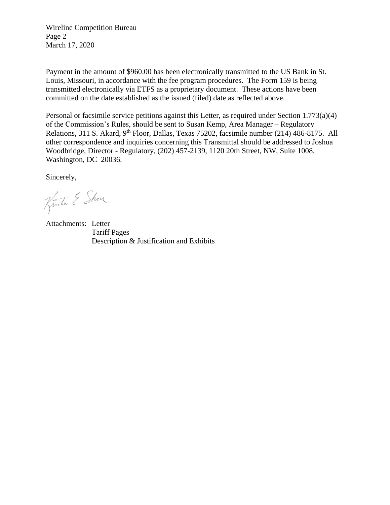Wireline Competition Bureau Page 2 March 17, 2020

Payment in the amount of \$960.00 has been electronically transmitted to the US Bank in St. Louis, Missouri, in accordance with the fee program procedures. The Form 159 is being transmitted electronically via ETFS as a proprietary document. These actions have been committed on the date established as the issued (filed) date as reflected above.

Personal or facsimile service petitions against this Letter, as required under Section 1.773(a)(4) of the Commission's Rules, should be sent to Susan Kemp, Area Manager – Regulatory Relations, 311 S. Akard, 9<sup>th</sup> Floor, Dallas, Texas 75202, facsimile number (214) 486-8175. All other correspondence and inquiries concerning this Transmittal should be addressed to Joshua Woodbridge, Director - Regulatory, (202) 457-2139, 1120 20th Street, NW, Suite 1008, Washington, DC 20036.

Sincerely,

Kuste & Show

Attachments: Letter Tariff Pages Description & Justification and Exhibits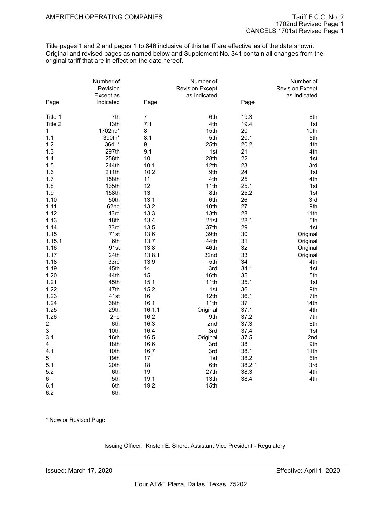Title pages 1 and 2 and pages 1 to 846 inclusive of this tariff are effective as of the date shown. Original and revised pages as named below and Supplement No. 341 contain all changes from the original tariff that are in effect on the date hereof.

|                         | Number of<br>Revision<br>Except as |                | Number of<br><b>Revision Except</b><br>as Indicated |        | Number of<br><b>Revision Except</b><br>as Indicated |
|-------------------------|------------------------------------|----------------|-----------------------------------------------------|--------|-----------------------------------------------------|
| Page                    | Indicated                          | Page           |                                                     | Page   |                                                     |
| Title 1                 | 7th                                | $\overline{7}$ | 6th                                                 | 19.3   | 8th                                                 |
| Title 2                 | 13th                               | 7.1            | 4th                                                 | 19.4   | 1st                                                 |
| $\mathbf{1}$            | 1702nd*                            | 8              | 15th                                                | 20     | 10th                                                |
| 1.1                     | 390th*                             | 8.1            | 5th                                                 | 20.1   | 5th                                                 |
| 1.2                     | 364th*                             | 9              | 25th                                                | 20.2   | 4th                                                 |
| 1.3                     | 297th                              | 9.1            | 1st                                                 | 21     | 4th                                                 |
| 1.4                     | 258th                              | 10             | 28th                                                | 22     | 1st                                                 |
| 1.5                     | 244th                              | 10.1           | 12th                                                | 23     | 3rd                                                 |
| 1.6                     | 211th                              | 10.2           | 9th                                                 | 24     | 1st                                                 |
| 1.7                     | 158th                              | 11             | 4th                                                 | 25     | 4th                                                 |
| 1.8                     | 135th                              | 12             | 11th                                                | 25.1   | 1st                                                 |
| 1.9                     | 158th                              | 13             | 8th                                                 | 25.2   | 1st                                                 |
| 1.10                    | 50th                               | 13.1           | 6th                                                 | 26     | 3rd                                                 |
| 1.11                    | 62nd                               | 13.2           | 10th                                                | 27     | 9th                                                 |
| 1.12                    | 43rd                               | 13.3           | 13th                                                | 28     | 11th                                                |
| 1.13                    | 18th                               | 13.4           | 21st                                                | 28.1   | 5th                                                 |
| 1.14                    | 33rd                               | 13.5           | 37th                                                | 29     | 1st                                                 |
| 1.15                    | 71st                               | 13.6           | 39th                                                | 30     | Original                                            |
| 1.15.1                  | 6th                                | 13.7           | 44th                                                | 31     | Original                                            |
| 1.16                    | 91st                               | 13.8           | 46th                                                | 32     | Original                                            |
| 1.17                    | 24th                               | 13.8.1         | 32nd                                                | 33     | Original                                            |
| 1.18                    | 33rd                               | 13.9           | 5th                                                 | 34     | 4th                                                 |
| 1.19                    | 45th                               | 14             | 3rd                                                 | 34.1   | 1st                                                 |
| 1.20                    | 44th                               | 15             | 16th                                                | 35     | 5th                                                 |
| 1.21                    | 45th                               | 15.1           | 11th                                                | 35.1   | 1st                                                 |
| 1.22                    | 47th                               | 15.2           | 1st                                                 | 36     | 9th                                                 |
| 1.23                    | 41st                               | 16             | 12th                                                | 36.1   | 7th                                                 |
| 1.24                    | 38th                               | 16.1           | 11th                                                | 37     | 14th                                                |
| 1.25                    | 29th                               | 16.1.1         | Original                                            | 37.1   | 4th                                                 |
| 1.26                    | 2nd                                | 16.2           | 9th                                                 | 37.2   | 7th                                                 |
| $\overline{\mathbf{c}}$ | 6th                                | 16.3           | 2nd                                                 | 37.3   | 6th                                                 |
| 3                       | 10th                               | 16.4           | 3rd                                                 | 37.4   | 1st                                                 |
| 3.1                     | 16th                               | 16.5           | Original                                            | 37.5   | 2nd                                                 |
| 4                       | 18th                               | 16.6           | 3rd                                                 | 38     | 9th                                                 |
| 4.1                     | 10th                               | 16.7           | 3rd                                                 | 38.1   | 11th                                                |
| 5                       | 19th                               | 17             | 1st                                                 | 38.2   | 6th                                                 |
| 5.1                     | 20th                               | 18             | 6th                                                 | 38.2.1 | 3rd                                                 |
| 5.2                     | 6th                                | 19             | 27th                                                | 38.3   | 4th                                                 |
| 6                       | 5th                                | 19.1           | 13th                                                | 38.4   | 4th                                                 |
| 6.1                     | 6th                                | 19.2           | 15th                                                |        |                                                     |

\* New or Revised Page

6.2 6th

Issuing Officer: Kristen E. Shore, Assistant Vice President - Regulatory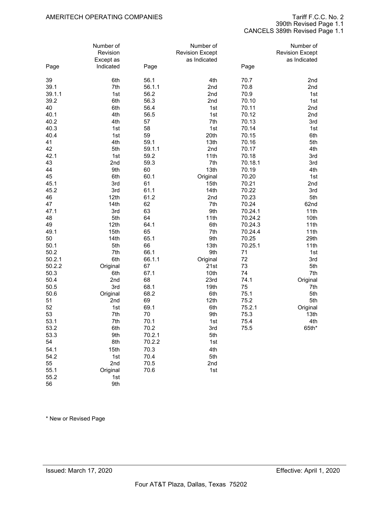390th Revised Page 1.1 CANCELS 389th Revised Page 1.1

|        | Number of<br>Revision |        | Number of<br><b>Revision Except</b> |         | Number of<br><b>Revision Except</b> |
|--------|-----------------------|--------|-------------------------------------|---------|-------------------------------------|
|        | Except as             |        | as Indicated                        |         | as Indicated                        |
| Page   | Indicated             | Page   |                                     | Page    |                                     |
| 39     | 6th                   | 56.1   | 4th                                 | 70.7    | 2nd                                 |
| 39.1   | 7th                   | 56.1.1 | 2nd                                 | 70.8    | 2nd                                 |
| 39.1.1 | 1st                   | 56.2   | 2nd                                 | 70.9    | 1st                                 |
| 39.2   | 6th                   | 56.3   | 2nd                                 | 70.10   | 1st                                 |
| 40     | 6th                   | 56.4   | 1st                                 | 70.11   | 2nd                                 |
| 40.1   | 4th                   | 56.5   | 1st                                 | 70.12   | 2nd                                 |
| 40.2   | 4th                   | 57     | 7th                                 | 70.13   | 3rd                                 |
| 40.3   | 1st                   | 58     | 1st                                 | 70.14   | 1st                                 |
| 40.4   | 1st                   | 59     | 20th                                | 70.15   | 6th                                 |
| 41     | 4th                   | 59.1   | 13th                                | 70.16   | 5th                                 |
| 42     | 5th                   | 59.1.1 | 2nd                                 | 70.17   | 4th                                 |
| 42.1   | 1st                   | 59.2   | 11th                                | 70.18   | 3rd                                 |
| 43     | 2nd                   | 59.3   | 7th                                 | 70.18.1 | 3rd                                 |
| 44     | 9th                   | 60     | 13th                                | 70.19   | 4th                                 |
| 45     | 6th                   | 60.1   | Original                            | 70.20   | 1st                                 |
| 45.1   | 3rd                   | 61     | 15th                                | 70.21   | 2nd                                 |
| 45.2   | 3rd                   | 61.1   | 14th                                | 70.22   | 3rd                                 |
| 46     | 12th                  | 61.2   | 2nd                                 | 70.23   | 5th                                 |
| 47     | 14th                  | 62     | 7th                                 | 70.24   | 62nd                                |
| 47.1   | 3rd                   | 63     | 9th                                 | 70.24.1 | 11th                                |
| 48     | 5th                   | 64     | 11th                                | 70.24.2 | 10th                                |
| 49     | 12th                  | 64.1   | 6th                                 | 70.24.3 | 11th                                |
| 49.1   | 15th                  | 65     | 7th                                 | 70.24.4 | 11th                                |
| 50     | 14th                  | 65.1   | 9th                                 | 70.25   | 29th                                |
| 50.1   | 5th                   | 66     | 13th                                | 70.25.1 | 11th                                |
| 50.2   | 7th                   | 66.1   | 9th                                 | 71      | 1st                                 |
| 50.2.1 | 6th                   | 66.1.1 | Original                            | 72      | 3rd                                 |
| 50.2.2 | Original              | 67     | 21st                                | 73      | 5th                                 |
| 50.3   | 6th                   | 67.1   | 10th                                | 74      | 7th                                 |
| 50.4   | 2nd                   | 68     | 23rd                                | 74.1    | Original                            |
| 50.5   | 3rd                   | 68.1   | 19th                                | 75      | 7th                                 |
| 50.6   | Original              | 68.2   | 6th                                 | 75.1    | 5th                                 |
| 51     | 2nd                   | 69     | 12th                                | 75.2    | 5th                                 |
| 52     | 1st                   | 69.1   | 6th                                 | 75.2.1  | Original                            |
| 53     | 7th                   | 70     | 9th                                 | 75.3    | 13th                                |
| 53.1   | 7th                   | 70.1   | 1st                                 | 75.4    | 4th                                 |
| 53.2   | 6th                   | 70.2   | 3rd                                 | 75.5    | $65th*$                             |
| 53.3   | 9th                   | 70.2.1 | 5th                                 |         |                                     |
| 54     | 8th                   | 70.2.2 | 1st                                 |         |                                     |
| 54.1   | 15th                  | 70.3   | 4th                                 |         |                                     |
| 54.2   | 1st                   | 70.4   | 5th                                 |         |                                     |
| 55     | 2nd                   | 70.5   | 2nd                                 |         |                                     |
| 55.1   | Original              | 70.6   | 1st                                 |         |                                     |
| 55.2   | 1st                   |        |                                     |         |                                     |
| 56     | 9th                   |        |                                     |         |                                     |

\* New or Revised Page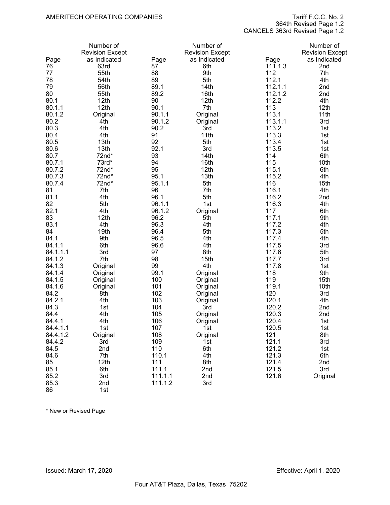364th Revised Page 1.2

CANCELS 363rd Revised Page 1.2

|          | Number of              |         | Number of              |         | Number of              |
|----------|------------------------|---------|------------------------|---------|------------------------|
|          | <b>Revision Except</b> |         | <b>Revision Except</b> |         | <b>Revision Except</b> |
| Page     | as Indicated           | Page    | as Indicated           | Page    | as Indicated           |
| 76       | 63rd                   | 87      | 6th                    | 111.1.3 | 2nd                    |
| 77       | 55th                   | 88      | 9th                    | 112     | 7th                    |
| 78       | 54th                   | 89      | 5th                    | 112.1   | 4th                    |
| 79       | 56th                   | 89.1    | 14th                   | 112.1.1 | 2nd                    |
| 80       | 55th                   | 89.2    | 16th                   | 112.1.2 | 2nd                    |
| 80.1     | 12th                   | 90      | 12th                   | 112.2   | 4th                    |
| 80.1.1   | 12 <sub>th</sub>       | 90.1    | 7th                    | 113     | 12th                   |
| 80.1.2   | Original               | 90.1.1  | Original               | 113.1   | 11th                   |
| 80.2     | 4th                    | 90.1.2  | Original               | 113.1.1 | 3rd                    |
| 80.3     | 4th                    | 90.2    | 3rd                    | 113.2   | 1st                    |
| 80.4     | 4th                    | 91      | 11th                   | 113.3   | 1st                    |
| 80.5     | 13th                   | 92      | 5th                    | 113.4   | 1st                    |
| 80.6     | 13th                   | 92.1    | 3rd                    | 113.5   | 1st                    |
| 80.7     | 72nd*                  | 93      | 14th                   | 114     | 6th                    |
| 80.7.1   | 73rd*                  | 94      | 16th                   | 115     | 10th                   |
| 80.7.2   | 72nd*                  | 95      | 12th                   | 115.1   | 6th                    |
| 80.7.3   | $72nd*$                | 95.1    | 13th                   | 115.2   | 4th                    |
| 80.7.4   | 72nd*                  | 95.1.1  | 5th                    | 116     | 15th                   |
| 81       | 7th                    | 96      | 7th                    |         | 4th                    |
|          |                        |         |                        | 116.1   |                        |
| 81.1     | 4th                    | 96.1    | 5th                    | 116.2   | 2nd                    |
| 82       | 5th                    | 96.1.1  | 1st                    | 116.3   | 4th                    |
| 82.1     | 4th                    | 96.1.2  | Original               | 117     | 6th                    |
| 83       | 12th                   | 96.2    | 5th                    | 117.1   | 9th                    |
| 83.1     | 4th                    | 96.3    | 4th                    | 117.2   | 4th                    |
| 84       | 19th                   | 96.4    | 5th                    | 117.3   | 5th                    |
| 84.1     | 9th                    | 96.5    | 4th                    | 117.4   | 4th                    |
| 84.1.1   | 6th                    | 96.6    | 4th                    | 117.5   | 3rd                    |
| 84.1.1.1 | 3rd                    | 97      | 8th                    | 117.6   | 5th                    |
| 84.1.2   | 7th                    | 98      | 15th                   | 117.7   | 3rd                    |
| 84.1.3   | Original               | 99      | 4th                    | 117.8   | 1st                    |
| 84.1.4   | Original               | 99.1    | Original               | 118     | 9th                    |
| 84.1.5   | Original               | 100     | Original               | 119     | 15th                   |
| 84.1.6   | Original               | 101     | Original               | 119.1   | 10th                   |
| 84.2     | 8th                    | 102     | Original               | 120     | 3rd                    |
| 84.2.1   | 4th                    | 103     | Original               | 120.1   | 4th                    |
| 84.3     | 1st                    | 104     | 3rd                    | 120.2   | 2nd                    |
| 84.4     | 4th                    | 105     | Original               | 120.3   | 2nd                    |
| 84.4.1   | 4th                    | 106     | Original               | 120.4   | 1st                    |
| 84.4.1.1 | 1st                    | 107     | 1ST                    | 120.5   | 1st                    |
| 84.4.1.2 | Original               | 108     | Original               | 121     | 8th                    |
| 84.4.2   | 3rd                    | 109     | 1st                    | 121.1   | 3rd                    |
| 84.5     | 2nd                    | 110     | 6th                    | 121.2   | 1st                    |
| 84.6     | 7th                    | 110.1   | 4th                    | 121.3   | 6th                    |
| 85       | 12th                   | 111     | 8th                    | 121.4   | 2nd                    |
| 85.1     | 6th                    | 111.1   | 2nd                    | 121.5   | 3rd                    |
| 85.2     | 3rd                    | 111.1.1 | 2nd                    | 121.6   | Original               |
| 85.3     | 2nd                    | 111.1.2 | 3rd                    |         |                        |
| 86       | 1st                    |         |                        |         |                        |

\* New or Revised Page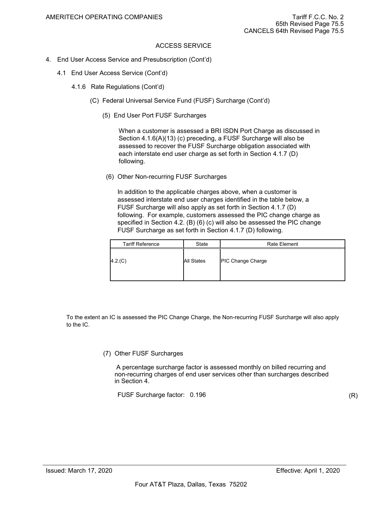- 4. End User Access Service and Presubscription (Cont'd)
	- 4.1 End User Access Service (Cont'd)
		- 4.1.6 Rate Regulations (Cont'd)
			- (C) Federal Universal Service Fund (FUSF) Surcharge (Cont'd)
				- (5) End User Port FUSF Surcharges

When a customer is assessed a BRI ISDN Port Charge as discussed in Section 4.1.6(A)(13) (c) preceding, a FUSF Surcharge will also be assessed to recover the FUSF Surcharge obligation associated with each interstate end user charge as set forth in Section 4.1.7 (D) following.

(6) Other Non-recurring FUSF Surcharges

In addition to the applicable charges above, when a customer is assessed interstate end user charges identified in the table below, a FUSF Surcharge will also apply as set forth in Section 4.1.7 (D) following. For example, customers assessed the PIC change charge as specified in Section 4.2. (B) (6) (c) will also be assessed the PIC change FUSF Surcharge as set forth in Section 4.1.7 (D) following.

| <b>Tariff Reference</b> | State      | <b>Rate Element</b>      |
|-------------------------|------------|--------------------------|
| 4.2 (C)                 | All States | <b>PIC Change Charge</b> |

To the extent an IC is assessed the PIC Change Charge, the Non-recurring FUSF Surcharge will also apply to the IC.

#### (7) Other FUSF Surcharges

 A percentage surcharge factor is assessed monthly on billed recurring and non-recurring charges of end user services other than surcharges described in Section 4.

FUSF Surcharge factor: 0.196

(R)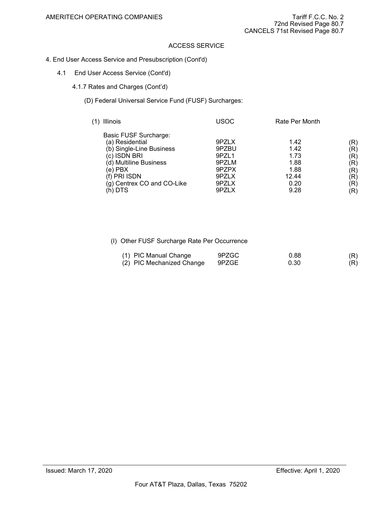- 4. End User Access Service and Presubscription (Cont'd)
	- 4.1 End User Access Service (Cont'd)
		- 4.1.7 Rates and Charges (Cont'd)
			- (D) Federal Universal Service Fund (FUSF) Surcharges:

| Illinois                                                                                                                                                                           | USOC                                                                 | Rate Per Month                                                |                                                                 |
|------------------------------------------------------------------------------------------------------------------------------------------------------------------------------------|----------------------------------------------------------------------|---------------------------------------------------------------|-----------------------------------------------------------------|
| Basic FUSF Surcharge:<br>(a) Residential<br>(b) Single-Line Business<br>(c) ISDN BRI<br>(d) Multiline Business<br>(e) PBX<br>(f) PRI ISDN<br>(g) Centrex CO and CO-Like<br>(h) DTS | 9PZLX<br>9PZBU<br>9PZL1<br>9PZLM<br>9PZPX<br>9PZLX<br>9PZLX<br>9PZLX | 1.42<br>1.42<br>1.73<br>1.88<br>1.88<br>12.44<br>0.20<br>9.28 | (R)<br>(R)<br>(R)<br>(R)<br>(R)<br>(R)<br>$(\mathsf{R})$<br>(R) |

| (1) PIC Manual Change     | 9PZGC | 0.88 | (R) |
|---------------------------|-------|------|-----|
| (2) PIC Mechanized Change | 9PZGE | 0.30 | (R) |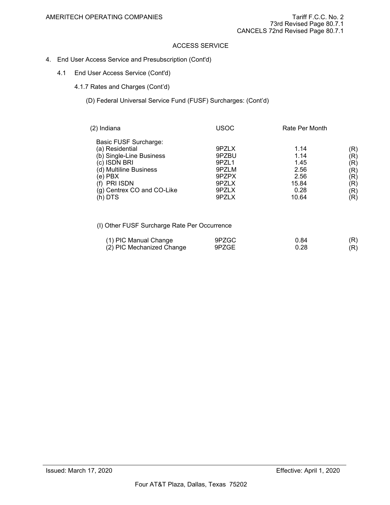- 4. End User Access Service and Presubscription (Cont'd)
	- 4.1 End User Access Service (Cont'd)
		- 4.1.7 Rates and Charges (Cont'd)
			- (D) Federal Universal Service Fund (FUSF) Surcharges: (Cont'd)

| (2) Indiana                                                                                                                                                                                   | USOC                                                                 | Rate Per Month                                                 |                                                                                        |
|-----------------------------------------------------------------------------------------------------------------------------------------------------------------------------------------------|----------------------------------------------------------------------|----------------------------------------------------------------|----------------------------------------------------------------------------------------|
| <b>Basic FUSF Surcharge:</b><br>(a) Residential<br>(b) Single-Line Business<br>(c) ISDN BRI<br>(d) Multiline Business<br>$(e)$ PBX<br>(f) PRI ISDN<br>(g) Centrex CO and CO-Like<br>$(h)$ DTS | 9PZLX<br>9PZBU<br>9PZL1<br>9PZLM<br>9PZPX<br>9PZLX<br>9PZLX<br>9PZLX | 1.14<br>1.14<br>1.45<br>2.56<br>2.56<br>15.84<br>0.28<br>10.64 | (R)<br>(R)<br>$(\mathsf{R})$<br>(R)<br>(R)<br>$\left( \mathsf{R}\right)$<br>(R)<br>(R) |

| (1) PIC Manual Change     | 9PZGC | 0.84 | (R) |
|---------------------------|-------|------|-----|
| (2) PIC Mechanized Change | 9PZGE | 0.28 | (R) |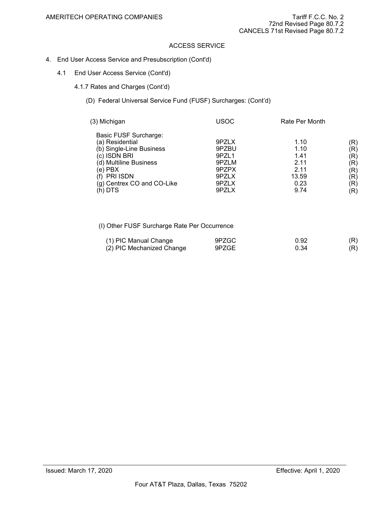- 4. End User Access Service and Presubscription (Cont'd)
	- 4.1 End User Access Service (Cont'd)
		- 4.1.7 Rates and Charges (Cont'd)
			- (D) Federal Universal Service Fund (FUSF) Surcharges: (Cont'd)

| (3) Michigan                                                                                                                                                                          | USOC                                                                 | Rate Per Month                                                |                                                                         |
|---------------------------------------------------------------------------------------------------------------------------------------------------------------------------------------|----------------------------------------------------------------------|---------------------------------------------------------------|-------------------------------------------------------------------------|
| Basic FUSF Surcharge:<br>(a) Residential<br>(b) Single-Line Business<br>(c) ISDN BRI<br>(d) Multiline Business<br>(e) PBX<br><b>PRI ISDN</b><br>(g) Centrex CO and CO-Like<br>(h) DTS | 9PZLX<br>9PZBU<br>9PZL1<br>9PZLM<br>9PZPX<br>9PZLX<br>9PZLX<br>9PZLX | 1.10<br>1.10<br>1.41<br>2.11<br>2.11<br>13.59<br>0.23<br>9.74 | (R)<br>$({\sf R})$<br>(R)<br>(R)<br>(R)<br>(R)<br>$(\mathsf{R})$<br>(R) |

| (1) PIC Manual Change     | 9PZGC | 0.92 | (R) |
|---------------------------|-------|------|-----|
| (2) PIC Mechanized Change | 9PZGE | 0.34 | (R) |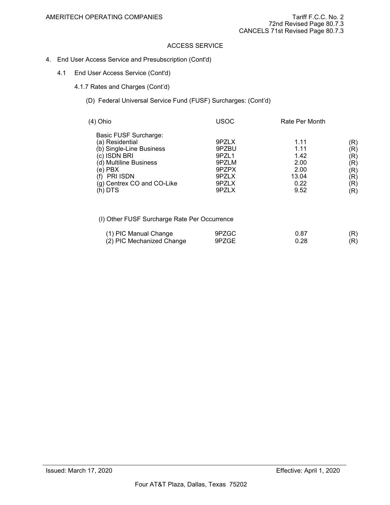- 4. End User Access Service and Presubscription (Cont'd)
	- 4.1 End User Access Service (Cont'd)
		- 4.1.7 Rates and Charges (Cont'd)
			- (D) Federal Universal Service Fund (FUSF) Surcharges: (Cont'd)

| (4) Ohio                                                                                                                                                                              | USOC                                                                 | Rate Per Month                                                |                                                                                       |
|---------------------------------------------------------------------------------------------------------------------------------------------------------------------------------------|----------------------------------------------------------------------|---------------------------------------------------------------|---------------------------------------------------------------------------------------|
| Basic FUSF Surcharge:<br>(a) Residential<br>(b) Single-Line Business<br>(c) ISDN BRI<br>(d) Multiline Business<br>(e) PBX<br><b>PRI ISDN</b><br>(g) Centrex CO and CO-Like<br>(h) DTS | 9PZLX<br>9PZBU<br>9PZL1<br>9PZLM<br>9PZPX<br>9PZLX<br>9PZLX<br>9PZLX | 1.11<br>1.11<br>1.42<br>2.00<br>2.00<br>13.04<br>0.22<br>9.52 | (R)<br>$(\mathsf{R})$<br>(R)<br>$(\mathsf{R})$<br>(R)<br>(R)<br>$(\mathsf{R})$<br>(R) |

| (1) PIC Manual Change     | 9PZGC | 0.87 | (R) |
|---------------------------|-------|------|-----|
| (2) PIC Mechanized Change | 9PZGE | ს.28 | (R) |
|                           |       |      |     |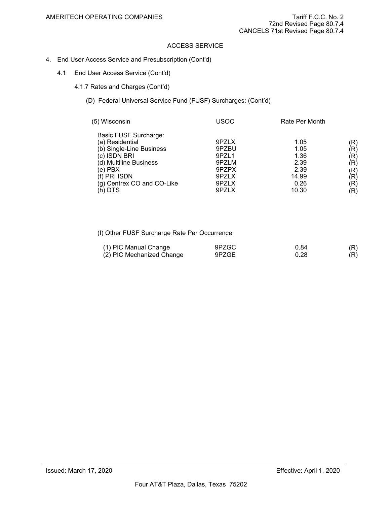- 4. End User Access Service and Presubscription (Cont'd)
	- 4.1 End User Access Service (Cont'd)
		- 4.1.7 Rates and Charges (Cont'd)
			- (D) Federal Universal Service Fund (FUSF) Surcharges: (Cont'd)

| (5) Wisconsin                                                                                                                                                                      | USOC                                                                 | Rate Per Month                                                 |                                                                                     |
|------------------------------------------------------------------------------------------------------------------------------------------------------------------------------------|----------------------------------------------------------------------|----------------------------------------------------------------|-------------------------------------------------------------------------------------|
| Basic FUSF Surcharge:<br>(a) Residential<br>(b) Single-Line Business<br>(c) ISDN BRI<br>(d) Multiline Business<br>(e) PBX<br>(f) PRI ISDN<br>(g) Centrex CO and CO-Like<br>(h) DTS | 9PZLX<br>9PZBU<br>9PZL1<br>9PZLM<br>9PZPX<br>9PZLX<br>9PZLX<br>9PZLX | 1.05<br>1.05<br>1.36<br>2.39<br>2.39<br>14.99<br>0.26<br>10.30 | (R)<br>$({\sf R})$<br>(R)<br>(R)<br>(R)<br>(R)<br>$\left( \mathsf{R}\right)$<br>(R) |

| (1) PIC Manual Change     | 9PZGC | 0.84 | (R) |
|---------------------------|-------|------|-----|
| (2) PIC Mechanized Change | 9PZGE | ა.28 | (R) |